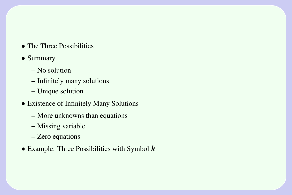• The Three Possibilities

#### • Summary

- No solution
- Infinitely many solutions
- Unique solution
- Existence of Infinitely Many Solutions
	- More unknowns than equations
	- Missing variable
	- Zero equations
- Example: Three Possibilities with Symbol  $k$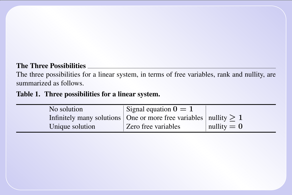# The Three Possibilities

The three possibilities for a linear system, in terms of free variables, rank and nullity, are summarized as follows.

### Table 1. Three possibilities for a linear system.

| No solution     | Signal equation $0 = 1$                                                               |               |
|-----------------|---------------------------------------------------------------------------------------|---------------|
|                 | Infinitely many solutions $\vert$ One or more free variables $\vert$ nullity $\geq 1$ |               |
| Unique solution | Zero free variables                                                                   | nullity $= 0$ |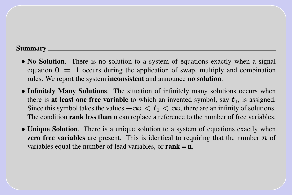#### Summary

- No Solution. There is no solution to a system of equations exactly when a signal equation  $0 = 1$  occurs during the application of swap, multiply and combination rules. We report the system inconsistent and announce no solution.
- Infinitely Many Solutions. The situation of infinitely many solutions occurs when there is at least one free variable to which an invented symbol, say  $t_1$ , is assigned. Since this symbol takes the values  $-\infty < t_1 < \infty$ , there are an infinity of solutions. The condition rank less than n can replace a reference to the number of free variables.
- Unique Solution. There is a unique solution to a system of equations exactly when **zero free variables** are present. This is identical to requiring that the number  $n$  of variables equal the number of lead variables, or  $rank = n$ .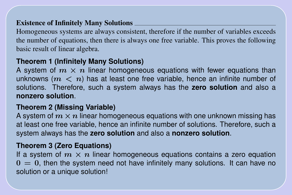# Existence of Infinitely Many Solutions

Homogeneous systems are always consistent, therefore if the number of variables exceeds the number of equations, then there is always one free variable. This proves the following basic result of linear algebra.

# **Theorem 1 (Infinitely Many Solutions)**

A system of  $m \times n$  linear homogeneous equations with fewer equations than unknowns ( $m < n$ ) has at least one free variable, hence an infinite number of solutions. Therefore, such a system always has the **zero solution** and also a **nonzero solution**.

### **Theorem 2 (Missing Variable)**

A system of  $m \times n$  linear homogeneous equations with one unknown missing has at least one free variable, hence an infinite number of solutions. Therefore, such a system always has the **zero solution** and also a **nonzero solution**.

# **Theorem 3 (Zero Equations)**

If a system of  $m \times n$  linear homogeneous equations contains a zero equation  $0 = 0$ , then the system need not have infinitely many solutions. It can have no solution or a unique solution!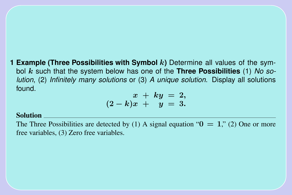**1 Example (Three Possibilities with Symbol** k**)** Determine all values of the symbol k such that the system below has one of the **Three Possibilities** (1) *No solution*, (2) *Infinitely many solutions* or (3) *A unique solution*. Display all solutions found.

$$
\begin{array}{rcl} x &+& ky &=2,\\ (2-k)x &+& y &=3.\end{array}
$$

#### Solution

The Three Possibilities are detected by (1) A signal equation " $0 = 1$ ," (2) One or more free variables, (3) Zero free variables.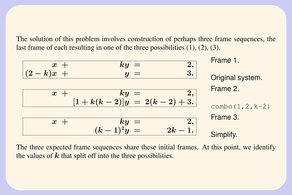The solution of this problem involves construction of perhaps three frame sequences, the last frame of each resulting in one of the three possibilities (1), (2), (3).

| $x +$        | $ky =$ | 2,2 |
|--------------|--------|-----|
| $(2-k)x +$   | $y =$  | 3.  |
| $x +$        | $ky =$ | 2,2 |
| $x +$        | $ky =$ | 2,2 |
| $x +$        | $ky =$ | 2,2 |
| $x +$        | $ky =$ | 2,2 |
| $x +$        | $ky =$ | 2,2 |
| $x +$        | $ky =$ | 2,2 |
| $(k-1)^2y =$ | $2k-1$ | 3.  |

The three expected frame sequences share these initial frames. At this point, we identify the values of  $k$  that split off into the three possibilities.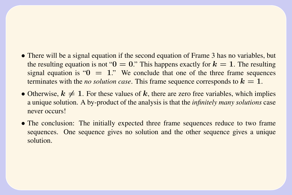- There will be a signal equation if the second equation of Frame 3 has no variables, but the resulting equation is not " $0 = 0$ ." This happens exactly for  $k = 1$ . The resulting signal equation is " $0 = 1$ ." We conclude that one of the three frame sequences terminates with the *no solution case*. This frame sequence corresponds to  $k = 1$ .
- Otherwise,  $k \neq 1$ . For these values of k, there are zero free variables, which implies a unique solution. A by-product of the analysis is that the *infinitely many solutions* case never occurs!
- The conclusion: The initially expected three frame sequences reduce to two frame sequences. One sequence gives no solution and the other sequence gives a unique solution.